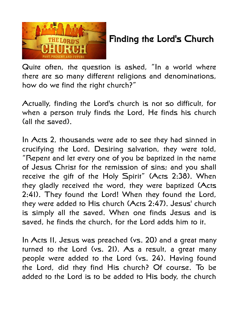

## Finding the Lord's Church

Quite often, the question is asked, "In a world where there are so many different religions and denominations, how do we find the right church?"

Actually, finding the Lord's church is not so difficult, for when a person truly finds the Lord, He finds his church (all the saved).

In Acts 2, thousands were ade to see they had sinned in crucifying the Lord. Desiring salvation, they were told, "Repent and let every one of you be baptized in the name of Jesus Christ for the remission of sins; and you shall receive the gift of the Holy Spirit" (Acts 2:38). When they gladly received the word, they were baptized (Acts 2:41). They found the Lord! When they found the Lord, they were added to His church (Acts 2:47). Jesus' church is simply all the saved. When one finds Jesus and is saved, he finds the church, for the Lord adds him to it.

In Acts 11, Jesus was preached (vs. 20) and a great many turned to the Lord (vs. 21). As a result, a great many people were added to the Lord (vs. 24). Having found the Lord, did they find His church? Of course. To be added to the Lord is to be added to His body, the church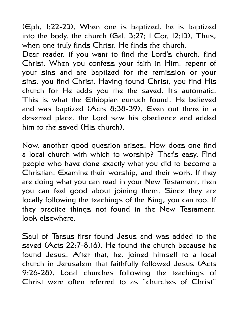(Eph. 1:22-23). When one is baptized, he is baptized into the body, the church (Gal. 3:27; 1 Cor. 12:13). Thus, when one truly finds Christ, He finds the church.

Dear reader, if you want to find the Lord's church, find Christ. When you confess your faith in Him, repent of your sins and are baptized for the remission or your sins, you find Christ. Having found Christ, you find His church for He adds you the the saved. It's automatic. This is what the Ethiopian eunuch found. He believed and was baptized (Acts 8:38-39). Even out there in a deserted place, the Lord saw his obedience and added him to the saved (His church).

Now, another good question arises. How does one find a local church with which to worship? That's easy. Find people who have done exactly what you did to become a Christian. Examine their worship, and their work. If they are doing what you can read in your New Testament, then you can feel good about joining them. Since they are locally following the teachings of the King, you can too. If they practice things not found in the New Testament, look elsewhere.

Saul of Tarsus first found Jesus and was added to the saved (Acts 22:7-8,16). He found the church because he found Jesus. After that, he, joined himself to a local church in Jerusalem that faithfully followed Jesus (Acts 9:26-28). Local churches following the teachings of Christ were often referred to as "churches of Christ"